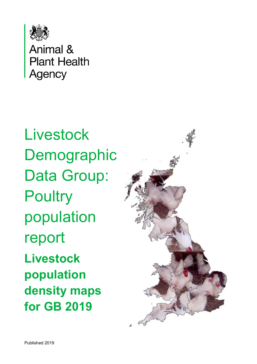

Animal & **Plant Health Agency** 

**Livestock** Demographic Data Group: **Poultry** population report **Livestock population density maps for GB 2019** 

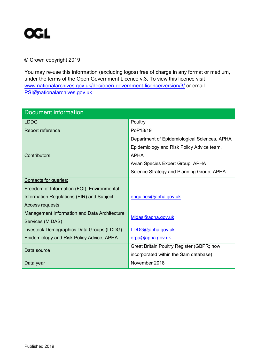

#### © Crown copyright 2019

You may re-use this information (excluding logos) free of charge in any format or medium, under the terms of the Open Government Licence v.3. To view this licence visit [www.nationalarchives.gov.uk/doc/open-government-licence/version/3/](http://www.nationalarchives.gov.uk/doc/open-government-licence/version/3/) or email [PSI@nationalarchives.gov.uk](mailto:PSI@nationalarchives.gov.uk) 

| <b>Document information</b>                  |                                              |  |
|----------------------------------------------|----------------------------------------------|--|
| <b>LDDG</b>                                  | Poultry                                      |  |
| Report reference                             | PoP18/19                                     |  |
|                                              | Department of Epidemiological Sciences, APHA |  |
|                                              | Epidemiology and Risk Policy Advice team,    |  |
| Contributors                                 | <b>APHA</b>                                  |  |
|                                              | Avian Species Expert Group, APHA             |  |
|                                              | Science Strategy and Planning Group, APHA    |  |
| Contacts for queries:                        |                                              |  |
| Freedom of Information (FOI), Environmental  |                                              |  |
| Information Regulations (EIR) and Subject    | enquiries@apha.gov.uk                        |  |
| <b>Access requests</b>                       |                                              |  |
| Management Information and Data Architecture | Midas@apha.gov.uk                            |  |
| Services (MIDAS)                             |                                              |  |
| Livestock Demographics Data Groups (LDDG)    | LDDG@apha.gov.uk                             |  |
| Epidemiology and Risk Policy Advice, APHA    | erpa@apha.gov.uk                             |  |
| Data source                                  | Great Britain Poultry Register (GBPR; now    |  |
|                                              | incorporated within the Sam database)        |  |
| Data year                                    | November 2018                                |  |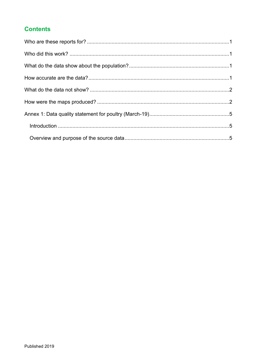#### **Contents**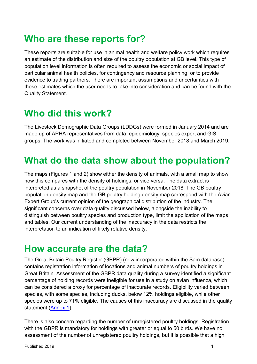## <span id="page-3-0"></span>**Who are these reports for?**

These reports are suitable for use in animal health and welfare policy work which requires an estimate of the distribution and size of the poultry population at GB level. This type of population level information is often required to assess the economic or social impact of particular animal health policies, for contingency and resource planning, or to provide evidence to trading partners. There are important assumptions and uncertainties with these estimates which the user needs to take into consideration and can be found with the Quality Statement.

## <span id="page-3-1"></span>**Who did this work?**

The Livestock Demographic Data Groups (LDDGs) were formed in January 2014 and are made up of APHA representatives from data, epidemiology, species expert and GIS groups. The work was initiated and completed between November 2018 and March 2019.

### <span id="page-3-2"></span>**What do the data show about the population?**

The maps (Figures 1 and 2) show either the density of animals, with a small map to show how this compares with the density of holdings, or vice versa. The data extract is interpreted as a snapshot of the poultry population in November 2018. The GB poultry population density map and the GB poultry holding density map correspond with the Avian Expert Group's current opinion of the geographical distribution of the industry. The significant concerns over data quality discussed below, alongside the inability to distinguish between poultry species and production type, limit the application of the maps and tables. Our current understanding of the inaccuracy in the data restricts the interpretation to an indication of likely relative density.

#### <span id="page-3-3"></span>**How accurate are the data?**

The Great Britain Poultry Register (GBPR) (now incorporated within the Sam database) contains registration information of locations and animal numbers of poultry holdings in Great Britain. Assessment of the GBPR data quality during a survey identified a significant percentage of holding records were ineligible for use in a study on avian influenza, which can be considered a proxy for percentage of inaccurate records. Eligibility varied between species, with some species, including ducks, below 12% holdings eligible, while other species were up to 71% eligible. The causes of this inaccuracy are discussed in the quality statement [\(Annex 1\)](#page-7-0).

There is also concern regarding the number of unregistered poultry holdings. Registration with the GBPR is mandatory for holdings with greater or equal to 50 birds. We have no assessment of the number of unregistered poultry holdings, but it is possible that a high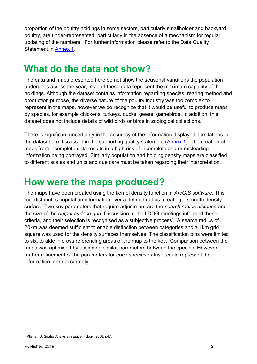proportion of the poultry holdings in some sectors, particularly smallholder and backyard poultry, are under-represented, particularly in the absence of a mechanism for regular updating of the numbers. For further information please refer to the Data Quality Statement in [Annex 1.](#page-7-0)

## <span id="page-4-0"></span>**What do the data not show?**

The data and maps presented here do not show the seasonal variations the population undergoes across the year, instead these data represent the maximum capacity of the holdings. Although the dataset contains information regarding species, rearing method and production purpose, the diverse nature of the poultry industry was too complex to represent in the maps, however we do recognize that it would be useful to produce maps by species, for example chickens, turkeys, ducks, geese, gamebirds. In addition, this dataset does not include details of wild birds or birds in zoological collections.

There is significant uncertainty in the accuracy of the information displayed. Limitations in the dataset are discussed in the supporting quality statement [\(Annex 1\)](#page-7-0). The creation of maps from incomplete data results in a high risk of incomplete and or misleading information being portrayed. Similarly population and holding density maps are classified to different scales and units and due care must be taken regarding their interpretation.

#### <span id="page-4-1"></span>**How were the maps produced?**

The maps have been created using the kernel density function in *ArcGIS software*. This tool distributes population information over a defined radius, creating a smooth density surface. Two key parameters that require adjustment are the *search radius distance* and the size of the *output surface grid*. Discussion at the LDDG meetings informed these criteria, and their selection is recognised as a subjective process<sup>1</sup>. A search radius of 20km was deemed sufficient to enable distinction between categories and a 1km grid square was used for the density surfaces themselves. The classification bins were limited to six, to aide in cross referencing areas of the map to the key. Comparison between the maps was optimised by assigning similar parameters between the species. However, further refinement of the parameters for each species dataset could represent the information more accurately.

-

<sup>1</sup> Pfieffer, D. Spatial Analysis in Epidemiology, 2008. p47.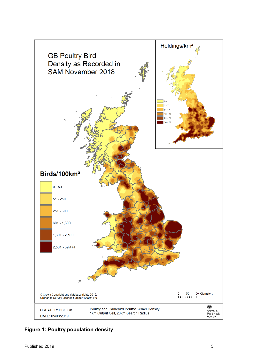

**Figure 1: Poultry population density**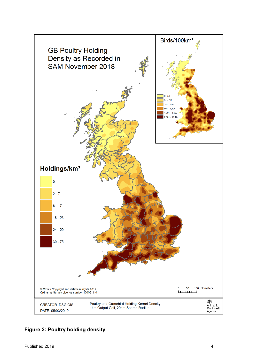

**Figure 2: Poultry holding density**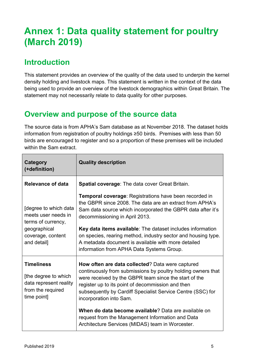# <span id="page-7-0"></span>**Annex 1: Data quality statement for poultry (March 2019)**

#### <span id="page-7-1"></span>**Introduction**

This statement provides an overview of the quality of the data used to underpin the kernel density holding and livestock maps. This statement is written in the context of the data being used to provide an overview of the livestock demographics within Great Britain. The statement may not necessarily relate to data quality for other purposes.

#### <span id="page-7-2"></span>**Overview and purpose of the source data**

The source data is from APHA's Sam database as at November 2018. The dataset holds information from registration of poultry holdings ≥50 birds. Premises with less than 50 birds are encouraged to register and so a proportion of these premises will be included within the Sam extract.

| Category<br>(+definition)                                                                                              | <b>Quality description</b>                                                                                                                                                                                                                                                                                               |
|------------------------------------------------------------------------------------------------------------------------|--------------------------------------------------------------------------------------------------------------------------------------------------------------------------------------------------------------------------------------------------------------------------------------------------------------------------|
| <b>Relevance of data</b>                                                                                               | Spatial coverage: The data cover Great Britain.                                                                                                                                                                                                                                                                          |
| [degree to which data<br>meets user needs in<br>terms of currency,<br>geographical<br>coverage, content<br>and detail] | <b>Temporal coverage: Registrations have been recorded in</b><br>the GBPR since 2008. The data are an extract from APHA's<br>Sam data source which incorporated the GBPR data after it's<br>decommissioning in April 2013.                                                                                               |
|                                                                                                                        | Key data items available: The dataset includes information<br>on species, rearing method, industry sector and housing type.<br>A metadata document is available with more detailed<br>information from APHA Data Systems Group.                                                                                          |
| <b>Timeliness</b><br>[the degree to which<br>data represent reality<br>from the required<br>time point]                | How often are data collected? Data were captured<br>continuously from submissions by poultry holding owners that<br>were received by the GBPR team since the start of the<br>register up to its point of decommission and then<br>subsequently by Cardiff Specialist Service Centre (SSC) for<br>incorporation into Sam. |
|                                                                                                                        | When do data become available? Data are available on<br>request from the Management Information and Data<br>Architecture Services (MIDAS) team in Worcester.                                                                                                                                                             |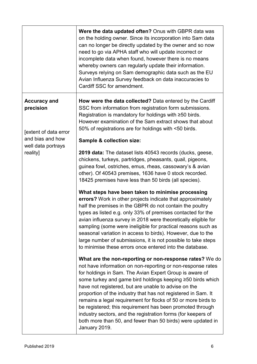|                                                           | Were the data updated often? Onus with GBPR data was<br>on the holding owner. Since its incorporation into Sam data<br>can no longer be directly updated by the owner and so now<br>need to go via APHA staff who will update incorrect or<br>incomplete data when found, however there is no means<br>whereby owners can regularly update their information.<br>Surveys relying on Sam demographic data such as the EU<br>Avian Influenza Survey feedback on data inaccuracies to<br>Cardiff SSC for amendment.                                                                                                                                       |
|-----------------------------------------------------------|--------------------------------------------------------------------------------------------------------------------------------------------------------------------------------------------------------------------------------------------------------------------------------------------------------------------------------------------------------------------------------------------------------------------------------------------------------------------------------------------------------------------------------------------------------------------------------------------------------------------------------------------------------|
| <b>Accuracy and</b><br>precision<br>Jextent of data error | How were the data collected? Data entered by the Cardiff<br>SSC from information from registration form submissions.<br>Registration is mandatory for holdings with ≥50 birds.<br>However examination of the Sam extract shows that about<br>50% of registrations are for holdings with <50 birds.                                                                                                                                                                                                                                                                                                                                                     |
| and bias and how<br>well data portrays                    | <b>Sample &amp; collection size:</b>                                                                                                                                                                                                                                                                                                                                                                                                                                                                                                                                                                                                                   |
| reality]                                                  | <b>2019 data:</b> The dataset lists 40543 records (ducks, geese,<br>chickens, turkeys, partridges, pheasants, quail, pigeons,<br>guinea fowl, ostriches, emus, rheas, cassowary's & avian<br>other). Of 40543 premises, 1636 have 0 stock recorded.<br>18425 premises have less than 50 birds (all species).                                                                                                                                                                                                                                                                                                                                           |
|                                                           | What steps have been taken to minimise processing<br>errors? Work in other projects indicate that approximately<br>half the premises in the GBPR do not contain the poultry<br>types as listed e.g. only 33% of premises contacted for the<br>avian influenza survey in 2018 were theoretically eligible for<br>sampling (some were ineligible for practical reasons such as<br>seasonal variation in access to birds). However, due to the<br>large number of submissions, it is not possible to take steps<br>to minimise these errors once entered into the database.                                                                               |
|                                                           | What are the non-reporting or non-response rates? We do<br>not have information on non-reporting or non-response rates<br>for holdings in Sam. The Avian Expert Group is aware of<br>some turkey and game bird holdings keeping ≥50 birds which<br>have not registered, but are unable to advise on the<br>proportion of the industry that has not registered in Sam. It<br>remains a legal requirement for flocks of 50 or more birds to<br>be registered; this requirement has been promoted through<br>industry sectors, and the registration forms (for keepers of<br>both more than 50, and fewer than 50 birds) were updated in<br>January 2019. |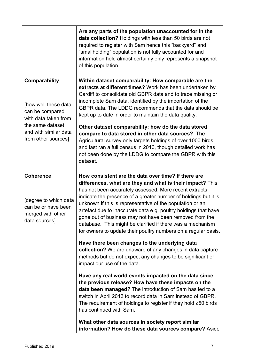|                                                                                                                                                      | Are any parts of the population unaccounted for in the<br>data collection? Holdings with less than 50 birds are not<br>required to register with Sam hence this "backyard" and<br>"smallholding" population is not fully accounted for and<br>information held almost certainly only represents a snapshot<br>of this population.                                                                                                                                                                                                                                        |
|------------------------------------------------------------------------------------------------------------------------------------------------------|--------------------------------------------------------------------------------------------------------------------------------------------------------------------------------------------------------------------------------------------------------------------------------------------------------------------------------------------------------------------------------------------------------------------------------------------------------------------------------------------------------------------------------------------------------------------------|
| Comparability<br>[how well these data<br>can be compared<br>with data taken from<br>the same dataset<br>and with similar data<br>from other sources] | Within dataset comparability: How comparable are the<br>extracts at different times? Work has been undertaken by<br>Cardiff to consolidate old GBPR data and to trace missing or<br>incomplete Sam data, identified by the importation of the<br>GBPR data. The LDDG recommends that the data should be<br>kept up to date in order to maintain the data quality.<br>Other dataset comparability: how do the data stored                                                                                                                                                 |
|                                                                                                                                                      | compare to data stored in other data sources? The<br>Agricultural survey only targets holdings of over 1000 birds<br>and last ran a full census in 2010, though detailed work has<br>not been done by the LDDG to compare the GBPR with this<br>dataset.                                                                                                                                                                                                                                                                                                                 |
| <b>Coherence</b><br>Idegree to which data<br>can be or have been<br>merged with other<br>data sources]                                               | How consistent are the data over time? If there are<br>differences, what are they and what is their impact? This<br>has not been accurately assessed. More recent extracts<br>indicate the presence of a greater number of holdings but it is<br>unknown if this is representative of the population or an<br>artefact due to inaccurate data e.g. poultry holdings that have<br>gone out of business may not have been removed from the<br>database. This might be clarified if there was a mechanism<br>for owners to update their poultry numbers on a regular basis. |
|                                                                                                                                                      | Have there been changes to the underlying data<br>collection? We are unaware of any changes in data capture<br>methods but do not expect any changes to be significant or<br>impact our use of the data.                                                                                                                                                                                                                                                                                                                                                                 |
|                                                                                                                                                      | Have any real world events impacted on the data since<br>the previous release? How have these impacts on the<br>data been managed? The introduction of Sam has led to a<br>switch in April 2013 to record data in Sam instead of GBPR.<br>The requirement of holdings to register if they hold $\geq 50$ birds<br>has continued with Sam.                                                                                                                                                                                                                                |
|                                                                                                                                                      | What other data sources in society report similar<br>information? How do these data sources compare? Aside                                                                                                                                                                                                                                                                                                                                                                                                                                                               |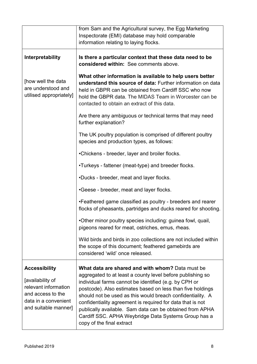|                                                                                                                                       | from Sam and the Agricultural survey, the Egg Marketing                                                                                                                                                                                                                                                                                                                                                                                                                                                            |
|---------------------------------------------------------------------------------------------------------------------------------------|--------------------------------------------------------------------------------------------------------------------------------------------------------------------------------------------------------------------------------------------------------------------------------------------------------------------------------------------------------------------------------------------------------------------------------------------------------------------------------------------------------------------|
|                                                                                                                                       | Inspectorate (EMI) database may hold comparable                                                                                                                                                                                                                                                                                                                                                                                                                                                                    |
|                                                                                                                                       | information relating to laying flocks.                                                                                                                                                                                                                                                                                                                                                                                                                                                                             |
| Interpretability                                                                                                                      | Is there a particular context that these data need to be<br>considered within: See comments above.                                                                                                                                                                                                                                                                                                                                                                                                                 |
| [how well the data<br>are understood and<br>utilised appropriately]                                                                   | What other information is available to help users better<br>understand this source of data: Further information on data<br>held in GBPR can be obtained from Cardiff SSC who now<br>hold the GBPR data. The MIDAS Team in Worcester can be<br>contacted to obtain an extract of this data.                                                                                                                                                                                                                         |
|                                                                                                                                       | Are there any ambiguous or technical terms that may need<br>further explanation?                                                                                                                                                                                                                                                                                                                                                                                                                                   |
|                                                                                                                                       | The UK poultry population is comprised of different poultry<br>species and production types, as follows:                                                                                                                                                                                                                                                                                                                                                                                                           |
|                                                                                                                                       | •Chickens - breeder, layer and broiler flocks.                                                                                                                                                                                                                                                                                                                                                                                                                                                                     |
|                                                                                                                                       | . Turkeys - fattener (meat-type) and breeder flocks.                                                                                                                                                                                                                                                                                                                                                                                                                                                               |
|                                                                                                                                       | .Ducks - breeder, meat and layer flocks.                                                                                                                                                                                                                                                                                                                                                                                                                                                                           |
|                                                                                                                                       | •Geese - breeder, meat and layer flocks.                                                                                                                                                                                                                                                                                                                                                                                                                                                                           |
|                                                                                                                                       | • Feathered game classified as poultry - breeders and rearer<br>flocks of pheasants, partridges and ducks reared for shooting.                                                                                                                                                                                                                                                                                                                                                                                     |
|                                                                                                                                       | . Other minor poultry species including: guinea fowl, quail,<br>pigeons reared for meat, ostriches, emus, rheas.                                                                                                                                                                                                                                                                                                                                                                                                   |
|                                                                                                                                       | Wild birds and birds in zoo collections are not included within<br>the scope of this document; feathered gamebirds are<br>considered 'wild' once released.                                                                                                                                                                                                                                                                                                                                                         |
| <b>Accessibility</b><br>[availability of<br>relevant information<br>and access to the<br>data in a convenient<br>and suitable manner] | What data are shared and with whom? Data must be<br>aggregated to at least a county level before publishing so<br>individual farms cannot be identified (e.g. by CPH or<br>postcode). Also estimates based on less than five holdings<br>should not be used as this would breach confidentiality. A<br>confidentiality agreement is required for data that is not<br>publically available. Sam data can be obtained from APHA<br>Cardiff SSC. APHA Weybridge Data Systems Group has a<br>copy of the final extract |